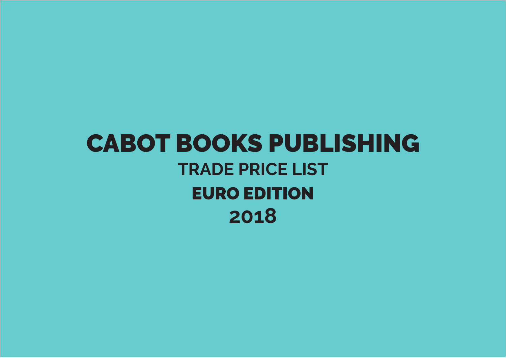## **CABOT BOOKS PUBLISHING TRADE PRICE LIST EURO EDITION** 2018

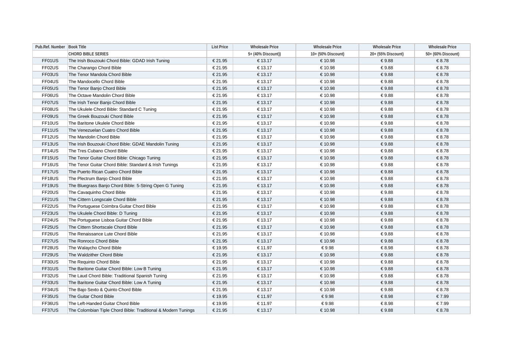| Pub.Ref. Number Book Title |                                                               | <b>List Price</b> | <b>Wholesale Price</b> | <b>Wholesale Price</b> | <b>Wholesale Price</b> | <b>Wholesale Price</b> |
|----------------------------|---------------------------------------------------------------|-------------------|------------------------|------------------------|------------------------|------------------------|
|                            | <b>CHORD BIBLE SERIES</b>                                     |                   | 5+ (40% Discount))     | 10+ (50% Discount)     | 20+ (55% Discount)     | 50+ (60% Discount)     |
| FF01US                     | The Irish Bouzouki Chord Bible: GDAD Irish Tuning             | €21.95            | €13.17                 | €10.98                 | €9.88                  | €8.78                  |
| FF02US                     | The Charango Chord Bible                                      | €21.95            | €13.17                 | €10.98                 | €9.88                  | €8.78                  |
| FF03US                     | The Tenor Mandola Chord Bible                                 | €21.95            | €13.17                 | €10.98                 | €9.88                  | €8.78                  |
| FF04US                     | The Mandocello Chord Bible                                    | €21.95            | €13.17                 | €10.98                 | €9.88                  | €8.78                  |
| FF05US                     | The Tenor Banjo Chord Bible                                   | €21.95            | €13.17                 | €10.98                 | €9.88                  | €8.78                  |
| FF06US                     | The Octave Mandolin Chord Bible                               | €21.95            | €13.17                 | €10.98                 | €9.88                  | €8.78                  |
| FF07US                     | The Irish Tenor Banjo Chord Bible                             | €21.95            | €13.17                 | €10.98                 | €9.88                  | €8.78                  |
| FF08US                     | The Ukulele Chord Bible: Standard C Tuning                    | €21.95            | €13.17                 | €10.98                 | €9.88                  | €8.78                  |
| FF09US                     | The Greek Bouzouki Chord Bible                                | €21.95            | €13.17                 | €10.98                 | €9.88                  | €8.78                  |
| FF10US                     | The Baritone Ukulele Chord Bible                              | €21.95            | €13.17                 | €10.98                 | €9.88                  | €8.78                  |
| FF11US                     | The Venezuelan Cuatro Chord Bible                             | €21.95            | €13.17                 | €10.98                 | €9.88                  | €8.78                  |
| FF12US                     | The Mandolin Chord Bible                                      | €21.95            | €13.17                 | €10.98                 | €9.88                  | €8.78                  |
| FF13US                     | The Irish Bouzouki Chord Bible: GDAE Mandolin Tuning          | €21.95            | €13.17                 | €10.98                 | €9.88                  | €8.78                  |
| FF14US                     | The Tres Cubano Chord Bible                                   | €21.95            | €13.17                 | €10.98                 | €9.88                  | €8.78                  |
| FF15US                     | The Tenor Guitar Chord Bible: Chicago Tuning                  | €21.95            | €13.17                 | €10.98                 | €9.88                  | €8.78                  |
| FF16US                     | The Tenor Guitar Chord Bible: Standard & Irish Tunings        | €21.95            | €13.17                 | €10.98                 | €9.88                  | €8.78                  |
| FF17US                     | The Puerto Rican Cuatro Chord Bible                           | €21.95            | €13.17                 | €10.98                 | €9.88                  | €8.78                  |
| FF18US                     | The Plectrum Banjo Chord Bible                                | €21.95            | €13.17                 | €10.98                 | €9.88                  | €8.78                  |
| FF19US                     | The Bluegrass Banjo Chord Bible: 5-String Open G Tuning       | €21.95            | €13.17                 | €10.98                 | €9.88                  | €8.78                  |
| FF20US                     | The Cavaquinho Chord Bible                                    | €21.95            | €13.17                 | €10.98                 | €9.88                  | €8.78                  |
| FF21US                     | The Cittern Longscale Chord Bible                             | €21.95            | €13.17                 | €10.98                 | €9.88                  | €8.78                  |
| FF22US                     | The Portuguese Coimbra Guitar Chord Bible                     | €21.95            | €13.17                 | €10.98                 | €9.88                  | €8.78                  |
| FF23US                     | The Ukulele Chord Bible: D Tuning                             | €21.95            | €13.17                 | €10.98                 | €9.88                  | €8.78                  |
| FF24US                     | The Portuguese Lisboa Guitar Chord Bible                      | €21.95            | €13.17                 | €10.98                 | €9.88                  | €8.78                  |
| FF25US                     | The Cittern Shortscale Chord Bible                            | €21.95            | €13.17                 | €10.98                 | €9.88                  | €8.78                  |
| FF26US                     | The Renaissance Lute Chord Bible                              | €21.95            | €13.17                 | €10.98                 | €9.88                  | €8.78                  |
| FF27US                     | The Ronroco Chord Bible                                       | €21.95            | €13.17                 | €10.98                 | €9.88                  | €8.78                  |
| FF28US                     | The Walaycho Chord Bible                                      | € 19.95           | €11.97                 | €9.98                  | €8.98                  | €8.78                  |
| FF29US                     | The Waldzither Chord Bible                                    | €21.95            | €13.17                 | €10.98                 | €9.88                  | €8.78                  |
| FF30US                     | The Requinto Chord Bible                                      | €21.95            | € 13.17                | €10.98                 | €9.88                  | €8.78                  |
| FF31US                     | The Baritone Guitar Chord Bible: Low B Tuning                 | €21.95            | €13.17                 | €10.98                 | €9.88                  | €8.78                  |
| FF32US                     | The Laud Chord Bible: Traditional Spanish Tuning              | €21.95            | € 13.17                | €10.98                 | €9.88                  | €8.78                  |
| FF33US                     | The Baritone Guitar Chord Bible: Low A Tuning                 | €21.95            | €13.17                 | €10.98                 | €9.88                  | €8.78                  |
| FF34US                     | The Bajo Sexto & Quinto Chord Bible                           | €21.95            | €13.17                 | €10.98                 | €9.88                  | €8.78                  |
| FF35US                     | The Guitar Chord Bible                                        | € 19.95           | €11.97                 | €9.98                  | €8.98                  | €7.99                  |
| FF36US                     | The Left-Handed Guitar Chord Bible                            | €19.95            | €11.97                 | €9.98                  | €8.98                  | €7.99                  |
| FF37US                     | The Colombian Tiple Chord Bible: Traditional & Modern Tunings | €21.95            | €13.17                 | €10.98                 | €9.88                  | €8.78                  |